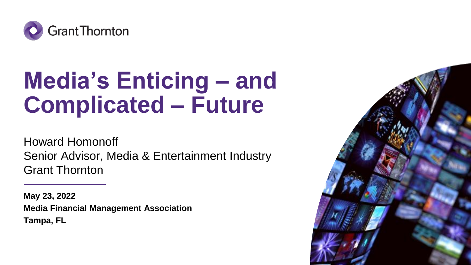

### **Media's Enticing – and Complicated – Future**

Howard Homonoff Senior Advisor, Media & Entertainment Industry Grant Thornton

**May 23, 2022 Media Financial Management Association Tampa, FL**

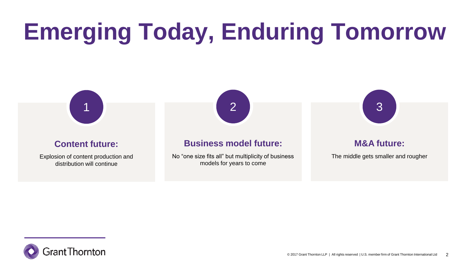# **Emerging Today, Enduring Tomorrow**



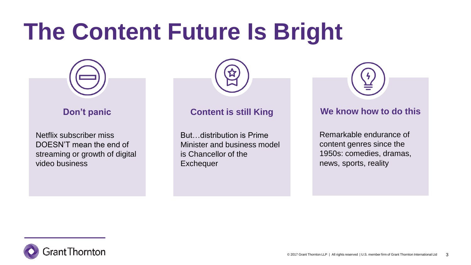## **The Content Future Is Bright**



#### **Don't panic**

Netflix subscriber miss DOESN'T mean the end of streaming or growth of digital video business



#### **Content is still King**

But…distribution is Prime Minister and business model is Chancellor of the **Exchequer** 

**We know how to do this**

Remarkable endurance of content genres since the 1950s: comedies, dramas, news, sports, reality

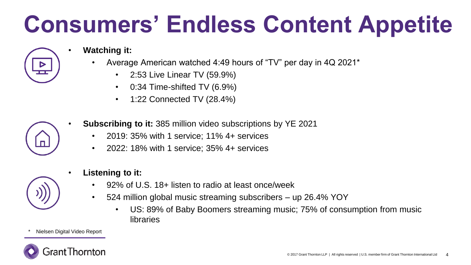# **Consumers' Endless Content Appetite**

- **Watching it:** 
	- Average American watched 4:49 hours of "TV" per day in 4Q 2021\*
		- 2:53 Live Linear TV (59.9%)
		- 0:34 Time-shifted TV (6.9%)
		- 1:22 Connected TV (28.4%)



- **Subscribing to it:** 385 million video subscriptions by YE 2021
	- 2019: 35% with 1 service; 11% 4+ services
	- 2022: 18% with 1 service; 35% 4+ services



- **Listening to it:** 
	- 92% of U.S. 18+ listen to radio at least once/week
	- 524 million global music streaming subscribers up 26.4% YOY
		- US: 89% of Baby Boomers streaming music; 75% of consumption from music libraries

Nielsen Digital Video Report

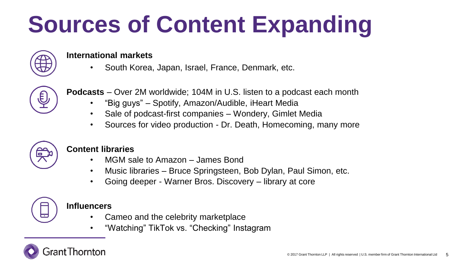# **Sources of Content Expanding**



#### **International markets**

• South Korea, Japan, Israel, France, Denmark, etc.



**Podcasts** – Over 2M worldwide; 104M in U.S. listen to a podcast each month

- "Big guys" Spotify, Amazon/Audible, iHeart Media
- Sale of podcast-first companies Wondery, Gimlet Media
- Sources for video production Dr. Death, Homecoming, many more



#### **Content libraries**

- MGM sale to Amazon James Bond
- Music libraries Bruce Springsteen, Bob Dylan, Paul Simon, etc.
- Going deeper Warner Bros. Discovery library at core



#### **Influencers**

- Cameo and the celebrity marketplace
- "Watching" TikTok vs. "Checking" Instagram

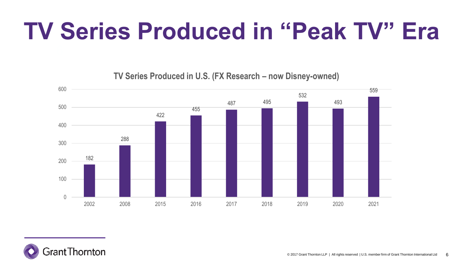## **TV Series Produced in "Peak TV" Era**

 495  $\theta$  2008 2015 2016 2017 2018 2019 2020 2021

**TV Series Produced in U.S. (FX Research – now Disney-owned)** 

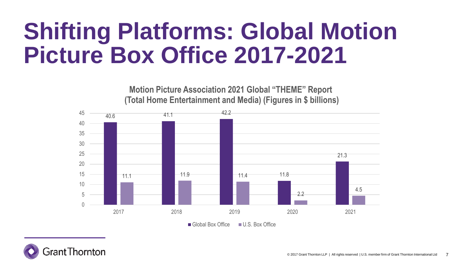### **Shifting Platforms: Global Motion Picture Box Office 2017-2021**



 $\Box$  Global Box Office  $\Box$  U.S. Box Office

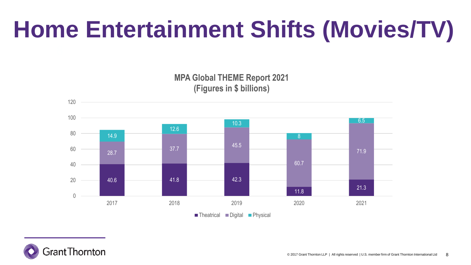# **Home Entertainment Shifts (Movies/TV)**

**MPA Global THEME Report 2021 (Figures in \$ billions)** 



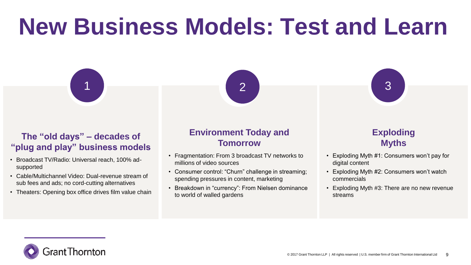## **New Business Models: Test and Learn**

1 2

#### **The "old days" – decades of "plug and play" business models**

- Broadcast TV/Radio: Universal reach, 100% adsupported
- Cable/Multichannel Video: Dual-revenue stream of sub fees and ads; no cord-cutting alternatives
- Theaters: Opening box office drives film value chain

#### **Environment Today and Tomorrow**

- Fragmentation: From 3 broadcast TV networks to millions of video sources
- Consumer control: "Churn" challenge in streaming; spending pressures in content, marketing
- Breakdown in "currency": From Nielsen dominance to world of walled gardens

#### **Exploding Myths**

• Exploding Myth #1: Consumers won't pay for digital content

3

- Exploding Myth #2: Consumers won't watch commercials
- Exploding Myth #3: There are no new revenue streams

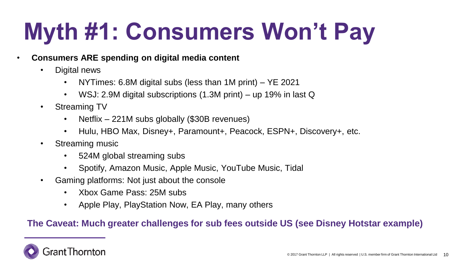# **Myth #1: Consumers Won't Pay**

#### • **Consumers ARE spending on digital media content**

- Digital news
	- NYTimes: 6.8M digital subs (less than 1M print) YE 2021
	- WSJ: 2.9M digital subscriptions (1.3M print) up 19% in last Q
- Streaming TV
	- Netflix 221M subs globally (\$30B revenues)
	- Hulu, HBO Max, Disney+, Paramount+, Peacock, ESPN+, Discovery+, etc.
- Streaming music
	- 524M global streaming subs
	- Spotify, Amazon Music, Apple Music, YouTube Music, Tidal
- Gaming platforms: Not just about the console
	- Xbox Game Pass: 25M subs
	- Apple Play, PlayStation Now, EA Play, many others

#### **The Caveat: Much greater challenges for sub fees outside US (see Disney Hotstar example)**

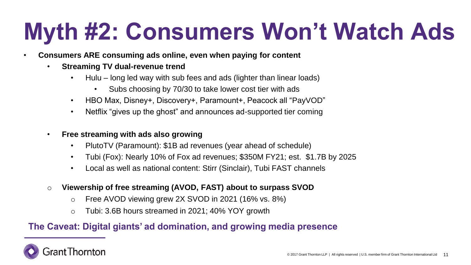## **Myth #2: Consumers Won't Watch Ads**

- **Consumers ARE consuming ads online, even when paying for content** 
	- **Streaming TV dual-revenue trend**
		- Hulu long led way with sub fees and ads (lighter than linear loads)
			- Subs choosing by 70/30 to take lower cost tier with ads
		- HBO Max, Disney+, Discovery+, Paramount+, Peacock all "PayVOD"
		- Netflix "gives up the ghost" and announces ad-supported tier coming
	- **Free streaming with ads also growing** 
		- PlutoTV (Paramount): \$1B ad revenues (year ahead of schedule)
		- Tubi (Fox): Nearly 10% of Fox ad revenues; \$350M FY21; est. \$1.7B by 2025
		- Local as well as national content: Stirr (Sinclair), Tubi FAST channels
	- o **Viewership of free streaming (AVOD, FAST) about to surpass SVOD**
		- o Free AVOD viewing grew 2X SVOD in 2021 (16% vs. 8%)
		- o Tubi: 3.6B hours streamed in 2021; 40% YOY growth

#### **The Caveat: Digital giants' ad domination, and growing media presence**

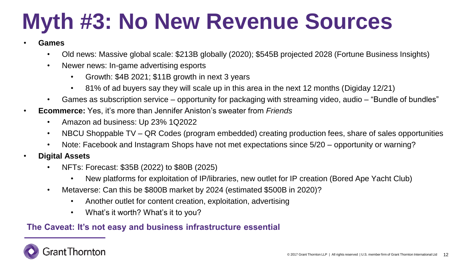## **Myth #3: No New Revenue Sources**

- **Games**
	- Old news: Massive global scale: \$213B globally (2020); \$545B projected 2028 (Fortune Business Insights)
	- Newer news: In-game advertising esports
		- Growth: \$4B 2021; \$11B growth in next 3 years
		- 81% of ad buyers say they will scale up in this area in the next 12 months (Digiday 12/21)
	- Games as subscription service opportunity for packaging with streaming video, audio "Bundle of bundles"
- **Ecommerce:** Yes, it's more than Jennifer Aniston's sweater from *Friends*
	- Amazon ad business: Up 23% 1Q2022
	- NBCU Shoppable TV QR Codes (program embedded) creating production fees, share of sales opportunities
	- Note: Facebook and Instagram Shops have not met expectations since 5/20 opportunity or warning?
- **Digital Assets**
	- NFTs: Forecast: \$35B (2022) to \$80B (2025)
		- New platforms for exploitation of IP/libraries, new outlet for IP creation (Bored Ape Yacht Club)
	- Metaverse: Can this be \$800B market by 2024 (estimated \$500B in 2020)?
		- Another outlet for content creation, exploitation, advertising
		- What's it worth? What's it to you?

#### **The Caveat: It's not easy and business infrastructure essential**

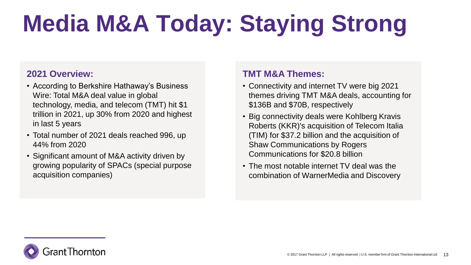# **Media M&A Today: Staying Strong**

#### **2021 Overview:**

- According to Berkshire Hathaway's Business Wire: Total M&A deal value in global technology, media, and telecom (TMT) hit \$1 trillion in 2021, up 30% from 2020 and highest in last 5 years
- Total number of 2021 deals reached 996, up 44% from 2020
- Significant amount of M&A activity driven by growing popularity of SPACs (special purpose acquisition companies)

#### **TMT M&A Themes:**

- Connectivity and internet TV were big 2021 themes driving TMT M&A deals, accounting for \$136B and \$70B, respectively
- Big connectivity deals were Kohlberg Kravis Roberts (KKR)'s acquisition of Telecom Italia (TIM) for \$37.2 billion and the acquisition of Shaw Communications by Rogers Communications for \$20.8 billion
- The most notable internet TV deal was the combination of WarnerMedia and Discovery

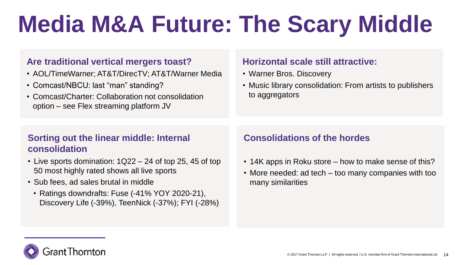# **Media M&A Future: The Scary Middle**

#### **Are traditional vertical mergers toast?**

- AOL/TimeWarner; AT&T/DirecTV; AT&T/Warner Media
- Comcast/NBCU: last "man" standing?
- Comcast/Charter: Collaboration not consolidation option – see Flex streaming platform JV

#### **Horizontal scale still attractive:**

- Warner Bros. Discovery
- Music library consolidation: From artists to publishers to aggregators

#### **Sorting out the linear middle: Internal consolidation**

- Live sports domination: 1Q22 24 of top 25, 45 of top 50 most highly rated shows all live sports
- Sub fees, ad sales brutal in middle
	- Ratings downdrafts: Fuse (-41% YOY 2020-21), Discovery Life (-39%), TeenNick (-37%); FYI (-28%)

#### **Consolidations of the hordes**

- 14K apps in Roku store how to make sense of this?
- More needed: ad tech too many companies with too many similarities